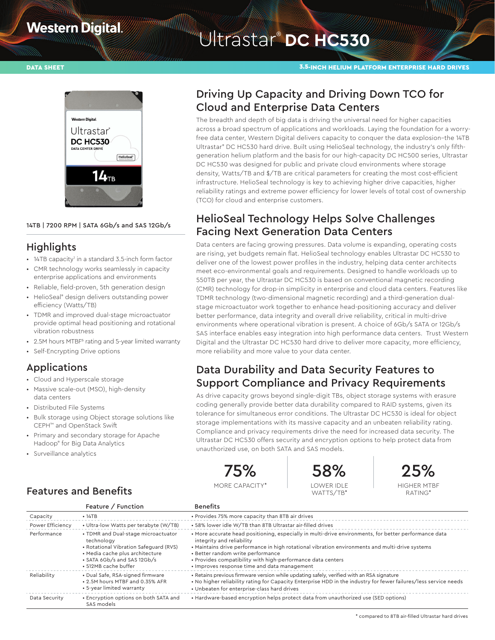# **Western Digital**

# Witrastar<sup>®</sup> DC HC530

#### DATA SHEET 3.5-INCH HELIUM PLATFORM ENTERPRISE HARD DRIVES



#### 14TB | 7200 RPM | SATA 6Gb/s and SAS 12Gb/s

#### **Highlights**

- 14TB capacity<sup>1</sup> in a standard 3.5-inch form factor
- CMR technology works seamlessly in capacity enterprise applications and environments
- Reliable, field-proven, 5th generation design
- HelioSeal® design delivers outstanding power efficiency (Watts/TB)
- TDMR and improved dual-stage microactuator provide optimal head positioning and rotational vibration robustness
- 2.5M hours MTBF<sup>6</sup> rating and 5-year limited warranty
- Self-Encrypting Drive options

#### Applications

- Cloud and Hyperscale storage
- Massive scale-out (MSO), high-density data centers
- Distributed File Systems
- Bulk storage using Object storage solutions like CEPH™ and OpenStack Swift
- Primary and secondary storage for Apache Hadoop® for Big Data Analytics

Features and Benefits

• Surveillance analytics

# Driving Up Capacity and Driving Down TCO for Cloud and Enterprise Data Centers

The breadth and depth of big data is driving the universal need for higher capacities across a broad spectrum of applications and workloads. Laying the foundation for a worryfree data center, Western Digital delivers capacity to conquer the data explosion–the 14TB Ultrastar® DC HC530 hard drive. Built using HelioSeal technology, the industry's only fifthgeneration helium platform and the basis for our high-capacity DC HC500 series, Ultrastar DC HC530 was designed for public and private cloud environments where storage density, Watts/TB and \$/TB are critical parameters for creating the most cost-efficient infrastructure. HelioSeal technology is key to achieving higher drive capacities, higher reliability ratings and extreme power efficiency for lower levels of total cost of ownership (TCO) for cloud and enterprise customers.

## HelioSeal Technology Helps Solve Challenges Facing Next Generation Data Centers

Data centers are facing growing pressures. Data volume is expanding, operating costs are rising, yet budgets remain flat. HelioSeal technology enables Ultrastar DC HC530 to deliver one of the lowest power profiles in the industry, helping data center architects meet eco-environmental goals and requirements. Designed to handle workloads up to 550TB per year, the Ultrastar DC HC530 is based on conventional magnetic recording (CMR) technology for drop-in simplicity in enterprise and cloud data centers. Features like TDMR technology (two-dimensional magnetic recording) and a third-generation dualstage microactuator work together to enhance head-positioning accuracy and deliver better performance, data integrity and overall drive reliability, critical in multi-drive environments where operational vibration is present. A choice of 6Gb/s SATA or 12Gb/s SAS interface enables easy integration into high performance data centers. Trust Western Digital and the Ultrastar DC HC530 hard drive to deliver more capacity, more efficiency, more reliability and more value to your data center.

# Data Durability and Data Security Features to Support Compliance and Privacy Requirements

As drive capacity grows beyond single-digit TBs, object storage systems with erasure coding generally provide better data durability compared to RAID systems, given its tolerance for simultaneous error conditions. The Ultrastar DC HC530 is ideal for object storage implementations with its massive capacity and an unbeaten reliability rating. Compliance and privacy requirements drive the need for increased data security. The Ultrastar DC HC530 offers security and encryption options to help protect data from unauthorized use, on both SATA and SAS models.



MORE CAPACITY\*





RATING\*

|                  | Feature / Function                                                                                                                                                                    | <b>Benefits</b>                                                                                                                                                                                                                                                                                                                                                                           |
|------------------|---------------------------------------------------------------------------------------------------------------------------------------------------------------------------------------|-------------------------------------------------------------------------------------------------------------------------------------------------------------------------------------------------------------------------------------------------------------------------------------------------------------------------------------------------------------------------------------------|
| Capacity         | • 14TB                                                                                                                                                                                | . Provides 75% more capacity than 8TB air drives                                                                                                                                                                                                                                                                                                                                          |
| Power Efficiency | • Ultra-low Watts per terabyte (W/TB)                                                                                                                                                 | • 58% lower idle W/TB than 8TB Ultrastar air-filled drives                                                                                                                                                                                                                                                                                                                                |
| Performance      | • TDMR and Dual-stage microactuator<br>technology<br>• Rotational Vibration Safequard (RVS)<br>· Media cache plus architecture<br>• SATA 6Gb/s and SAS 12Gb/s<br>• 512MB cache buffer | • More accurate head positioning, especially in multi-drive environments, for better performance data<br>integrity and reliability<br>. Maintains drive performance in high rotational vibration environments and multi-drive systems<br>• Better random write performance<br>. Provides compatibility with high-performance data centers<br>• Improves response time and data management |
| Reliability      | · Dual Safe, RSA-signed firmware<br>. 2.5M hours MTBF and 0.35% AFR<br>• 5-year limited warranty                                                                                      | • Retains previous firmware version while updating safely, verified with an RSA signature<br>• No higher reliability rating for Capacity Enterprise HDD in the industry for fewer failures/less service needs<br>• Unbeaten for enterprise-class hard drives                                                                                                                              |
| Data Security    | • Encryption options on both SATA and<br>SAS models                                                                                                                                   | • Hardware-based encryption helps protect data from unauthorized use (SED options)                                                                                                                                                                                                                                                                                                        |

\* compared to 8TB air-filled Ultrastar hard drives